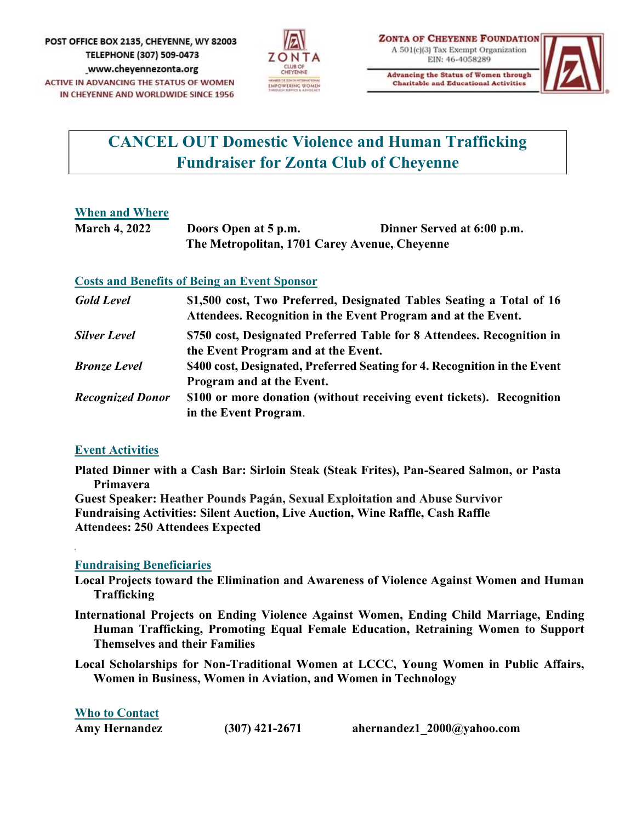

**Charitable and Educational Activities** 



## CANCEL OUT Domestic Violence and Human Trafficking Fundraiser for Zonta Club of Cheyenne

### When and Where

| <b>March 4, 2022</b> | Doors Open at 5 p.m.                          | Dinner Served at 6:00 p.m. |
|----------------------|-----------------------------------------------|----------------------------|
|                      | The Metropolitan, 1701 Carey Avenue, Cheyenne |                            |

### Costs and Benefits of Being an Event Sponsor

| <b>Gold Level</b>       | \$1,500 cost, Two Preferred, Designated Tables Seating a Total of 16<br>Attendees. Recognition in the Event Program and at the Event. |
|-------------------------|---------------------------------------------------------------------------------------------------------------------------------------|
| <b>Silver Level</b>     | \$750 cost, Designated Preferred Table for 8 Attendees. Recognition in<br>the Event Program and at the Event.                         |
| <b>Bronze Level</b>     | \$400 cost, Designated, Preferred Seating for 4. Recognition in the Event<br>Program and at the Event.                                |
| <b>Recognized Donor</b> | \$100 or more donation (without receiving event tickets). Recognition<br>in the Event Program.                                        |
| <b>Event Activities</b> |                                                                                                                                       |

Plated Dinner with a Cash Bar: Sirloin Steak (Steak Frites), Pan-Seared Salmon, or Pasta Primavera

Guest Speaker: Heather Pounds Pagán, Sexual Exploitation and Abuse Survivor Fundraising Activities: Silent Auction, Live Auction, Wine Raffle, Cash Raffle Attendees: 250 Attendees Expected<br>|-<br>Fundraising Beneficiaries

- Local Projects toward the Elimination and Awareness of Violence Against Women and Human Trafficking
- International Projects on Ending Violence Against Women, Ending Child Marriage, Ending Human Trafficking, Promoting Equal Female Education, Retraining Women to Support Themselves and their Families
- Local Scholarships for Non-Traditional Women at LCCC, Young Women in Public Affairs, Women in Business, Women in Aviation, and Women in Technology

| <b>Who to Contact</b> |                  |                            |
|-----------------------|------------------|----------------------------|
| <b>Amy Hernandez</b>  | $(307)$ 421-2671 | ahernandez1 2000@yahoo.com |